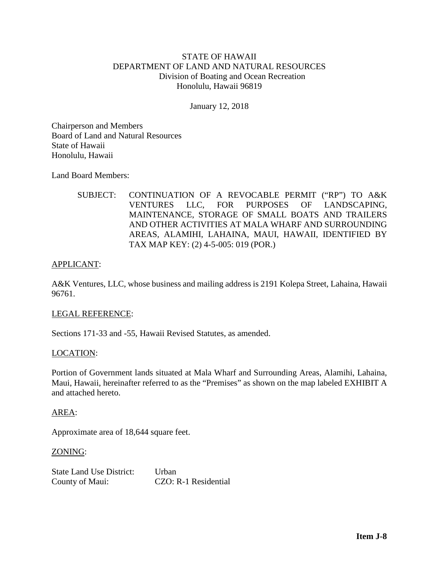# STATE OF HAWAII DEPARTMENT OF LAND AND NATURAL RESOURCES Division of Boating and Ocean Recreation Honolulu, Hawaii 96819

January 12, 2018

Chairperson and Members Board of Land and Natural Resources State of Hawaii Honolulu, Hawaii

Land Board Members:

SUBJECT: CONTINUATION OF A REVOCABLE PERMIT ("RP") TO A&K VENTURES LLC, FOR PURPOSES OF LANDSCAPING, MAINTENANCE, STORAGE OF SMALL BOATS AND TRAILERS AND OTHER ACTIVITIES AT MALA WHARF AND SURROUNDING AREAS, ALAMIHI, LAHAINA, MAUI, HAWAII, IDENTIFIED BY TAX MAP KEY: (2) 4-5-005: 019 (POR.)

## APPLICANT:

A&K Ventures, LLC, whose business and mailing address is 2191 Kolepa Street, Lahaina, Hawaii 96761.

#### LEGAL REFERENCE:

Sections 171-33 and -55, Hawaii Revised Statutes, as amended.

#### LOCATION:

Portion of Government lands situated at Mala Wharf and Surrounding Areas, Alamihi, Lahaina, Maui, Hawaii, hereinafter referred to as the "Premises" as shown on the map labeled EXHIBIT A and attached hereto.

#### AREA:

Approximate area of 18,644 square feet.

#### ZONING:

State Land Use District: Urban County of Maui: CZO: R-1 Residential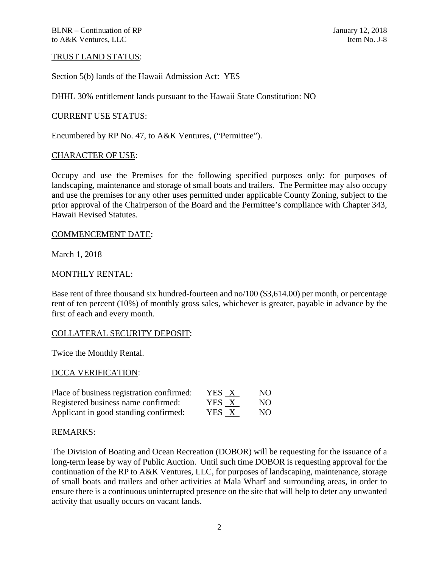## TRUST LAND STATUS:

Section 5(b) lands of the Hawaii Admission Act: YES

DHHL 30% entitlement lands pursuant to the Hawaii State Constitution: NO

## CURRENT USE STATUS:

Encumbered by RP No. 47, to A&K Ventures, ("Permittee").

#### CHARACTER OF USE:

Occupy and use the Premises for the following specified purposes only: for purposes of landscaping, maintenance and storage of small boats and trailers. The Permittee may also occupy and use the premises for any other uses permitted under applicable County Zoning, subject to the prior approval of the Chairperson of the Board and the Permittee's compliance with Chapter 343, Hawaii Revised Statutes.

#### COMMENCEMENT DATE:

March 1, 2018

## MONTHLY RENTAL:

Base rent of three thousand six hundred-fourteen and no/100 (\$3,614.00) per month, or percentage rent of ten percent (10%) of monthly gross sales, whichever is greater, payable in advance by the first of each and every month.

## COLLATERAL SECURITY DEPOSIT:

Twice the Monthly Rental.

## DCCA VERIFICATION:

| Place of business registration confirmed: | YES X | NO. |
|-------------------------------------------|-------|-----|
| Registered business name confirmed:       | YES X | NO. |
| Applicant in good standing confirmed:     | YES X | NO. |

#### REMARKS:

The Division of Boating and Ocean Recreation (DOBOR) will be requesting for the issuance of a long-term lease by way of Public Auction. Until such time DOBOR is requesting approval for the continuation of the RP to A&K Ventures, LLC, for purposes of landscaping, maintenance, storage of small boats and trailers and other activities at Mala Wharf and surrounding areas, in order to ensure there is a continuous uninterrupted presence on the site that will help to deter any unwanted activity that usually occurs on vacant lands.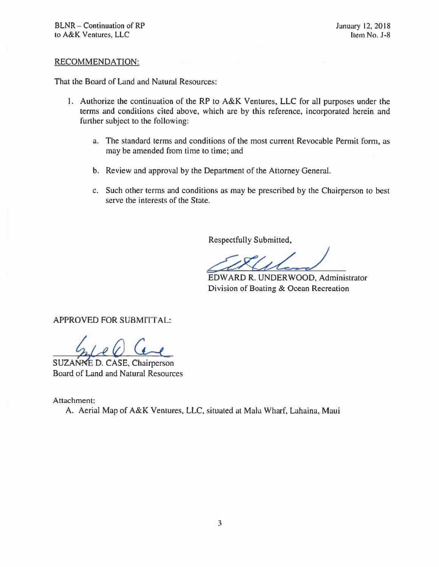## **RECOMMENDATION:**

That the Board of Land and Natural Resources:

- 1. Authorize the continuation of the RP to A&K Ventures, LLC for all purposes under the terms and conditions cited above, which are by this reference, incorporated herein and further subject to the following:
	- a. The standard terms and conditions of the most current Revocable Permit form, as may be amended from time to time; and
	- b. Review and approval by the Department of the Attorney General.
	- c. Such other terms and conditions as may be prescribed by the Chairperson to best serve the interests of the State.

Respectfully Submitted,

EDWARD R. UNDERWOOD, Administrator Division of Boating & Ocean Recreation

**APPROVED FOR SUBMITTAL:** 

SUZANNE D. CASE, Chairperson Board of Land and Natural Resources

Attachment:

A. Aerial Map of A&K Ventures, LLC, situated at Mala Wharf, Lahaina, Maui